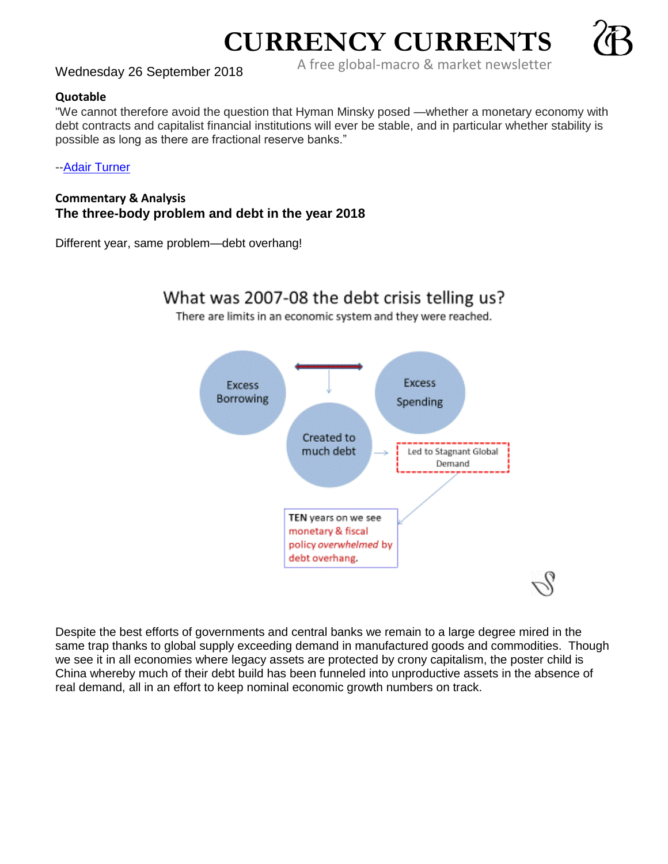A free global-macro & market newsletter Wednesday 26 September 2018

**CURRENCY CURRENTS**



"We cannot therefore avoid the question that Hyman Minsky posed —whether a monetary economy with debt contracts and capitalist financial institutions will ever be stable, and in particular whether stability is possible as long as there are fractional reserve banks."

-[-Adair Turner](https://en.wikipedia.org/wiki/Adair_Turner,_Baron_Turner_of_Ecchinswell)

**Commentary & Analysis The three-body problem and debt in the year 2018**

Different year, same problem—debt overhang!



There are limits in an economic system and they were reached.



Despite the best efforts of governments and central banks we remain to a large degree mired in the same trap thanks to global supply exceeding demand in manufactured goods and commodities. Though we see it in all economies where legacy assets are protected by crony capitalism, the poster child is China whereby much of their debt build has been funneled into unproductive assets in the absence of real demand, all in an effort to keep nominal economic growth numbers on track.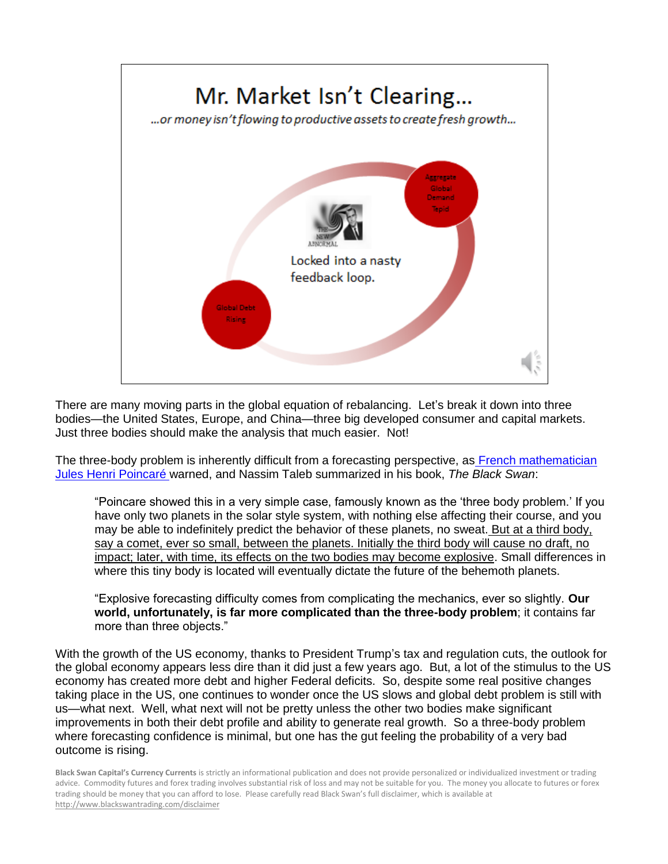

There are many moving parts in the global equation of rebalancing. Let's break it down into three bodies—the United States, Europe, and China—three big developed consumer and capital markets. Just three bodies should make the analysis that much easier. Not!

The three-body problem is inherently difficult from a forecasting perspective, as [French mathematician](http://www.bourbaphy.fr/chenciner.pdf)  [Jules Henri Poincaré w](http://www.bourbaphy.fr/chenciner.pdf)arned, and Nassim Taleb summarized in his book, *The Black Swan*:

"Poincare showed this in a very simple case, famously known as the 'three body problem.' If you have only two planets in the solar style system, with nothing else affecting their course, and you may be able to indefinitely predict the behavior of these planets, no sweat. But at a third body, say a comet, ever so small, between the planets. Initially the third body will cause no draft, no impact; later, with time, its effects on the two bodies may become explosive. Small differences in where this tiny body is located will eventually dictate the future of the behemoth planets.

"Explosive forecasting difficulty comes from complicating the mechanics, ever so slightly. **Our world, unfortunately, is far more complicated than the three-body problem**; it contains far more than three objects."

With the growth of the US economy, thanks to President Trump's tax and regulation cuts, the outlook for the global economy appears less dire than it did just a few years ago. But, a lot of the stimulus to the US economy has created more debt and higher Federal deficits. So, despite some real positive changes taking place in the US, one continues to wonder once the US slows and global debt problem is still with us—what next. Well, what next will not be pretty unless the other two bodies make significant improvements in both their debt profile and ability to generate real growth. So a three-body problem where forecasting confidence is minimal, but one has the gut feeling the probability of a very bad outcome is rising.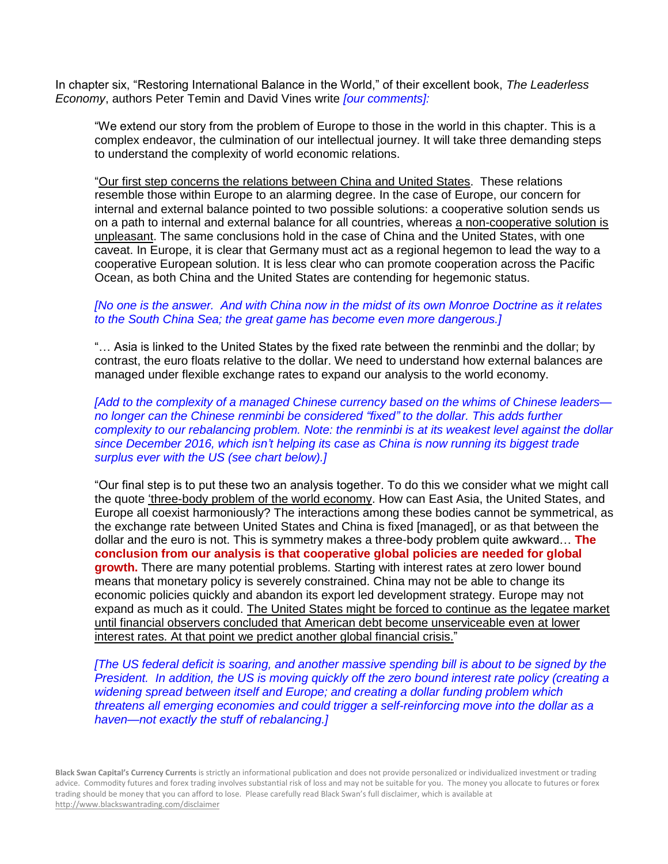In chapter six, "Restoring International Balance in the World," of their excellent book, *The Leaderless Economy*, authors Peter Temin and David Vines write *[our comments]:*

"We extend our story from the problem of Europe to those in the world in this chapter. This is a complex endeavor, the culmination of our intellectual journey. It will take three demanding steps to understand the complexity of world economic relations.

"Our first step concerns the relations between China and United States. These relations resemble those within Europe to an alarming degree. In the case of Europe, our concern for internal and external balance pointed to two possible solutions: a cooperative solution sends us on a path to internal and external balance for all countries, whereas a non-cooperative solution is unpleasant. The same conclusions hold in the case of China and the United States, with one caveat. In Europe, it is clear that Germany must act as a regional hegemon to lead the way to a cooperative European solution. It is less clear who can promote cooperation across the Pacific Ocean, as both China and the United States are contending for hegemonic status.

## *[No one is the answer. And with China now in the midst of its own Monroe Doctrine as it relates to the South China Sea; the great game has become even more dangerous.]*

"… Asia is linked to the United States by the fixed rate between the renminbi and the dollar; by contrast, the euro floats relative to the dollar. We need to understand how external balances are managed under flexible exchange rates to expand our analysis to the world economy.

*[Add to the complexity of a managed Chinese currency based on the whims of Chinese leaders no longer can the Chinese renminbi be considered "fixed" to the dollar. This adds further complexity to our rebalancing problem. Note: the renminbi is at its weakest level against the dollar since December 2016, which isn't helping its case as China is now running its biggest trade surplus ever with the US (see chart below).]*

"Our final step is to put these two an analysis together. To do this we consider what we might call the quote 'three-body problem of the world economy. How can East Asia, the United States, and Europe all coexist harmoniously? The interactions among these bodies cannot be symmetrical, as the exchange rate between United States and China is fixed [managed], or as that between the dollar and the euro is not. This is symmetry makes a three-body problem quite awkward… **The conclusion from our analysis is that cooperative global policies are needed for global growth.** There are many potential problems. Starting with interest rates at zero lower bound means that monetary policy is severely constrained. China may not be able to change its economic policies quickly and abandon its export led development strategy. Europe may not expand as much as it could. The United States might be forced to continue as the legatee market until financial observers concluded that American debt become unserviceable even at lower interest rates. At that point we predict another global financial crisis."

*[The US federal deficit is soaring, and another massive spending bill is about to be signed by the President. In addition, the US is moving quickly off the zero bound interest rate policy (creating a widening spread between itself and Europe; and creating a dollar funding problem which threatens all emerging economies and could trigger a self-reinforcing move into the dollar as a haven—not exactly the stuff of rebalancing.]*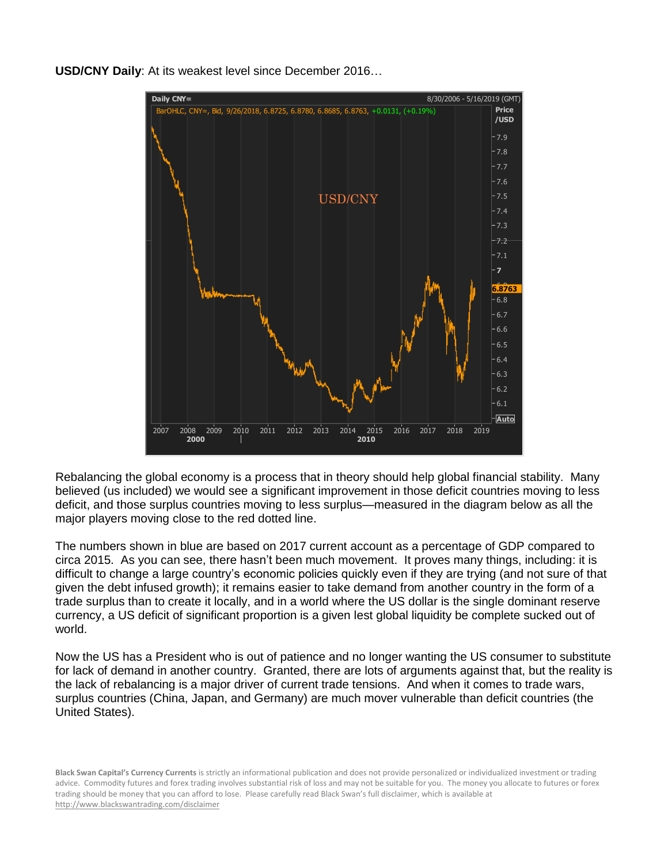

**USD/CNY Daily**: At its weakest level since December 2016…

Rebalancing the global economy is a process that in theory should help global financial stability. Many believed (us included) we would see a significant improvement in those deficit countries moving to less deficit, and those surplus countries moving to less surplus—measured in the diagram below as all the major players moving close to the red dotted line.

The numbers shown in blue are based on 2017 current account as a percentage of GDP compared to circa 2015. As you can see, there hasn't been much movement. It proves many things, including: it is difficult to change a large country's economic policies quickly even if they are trying (and not sure of that given the debt infused growth); it remains easier to take demand from another country in the form of a trade surplus than to create it locally, and in a world where the US dollar is the single dominant reserve currency, a US deficit of significant proportion is a given lest global liquidity be complete sucked out of world.

Now the US has a President who is out of patience and no longer wanting the US consumer to substitute for lack of demand in another country. Granted, there are lots of arguments against that, but the reality is the lack of rebalancing is a major driver of current trade tensions. And when it comes to trade wars, surplus countries (China, Japan, and Germany) are much mover vulnerable than deficit countries (the United States).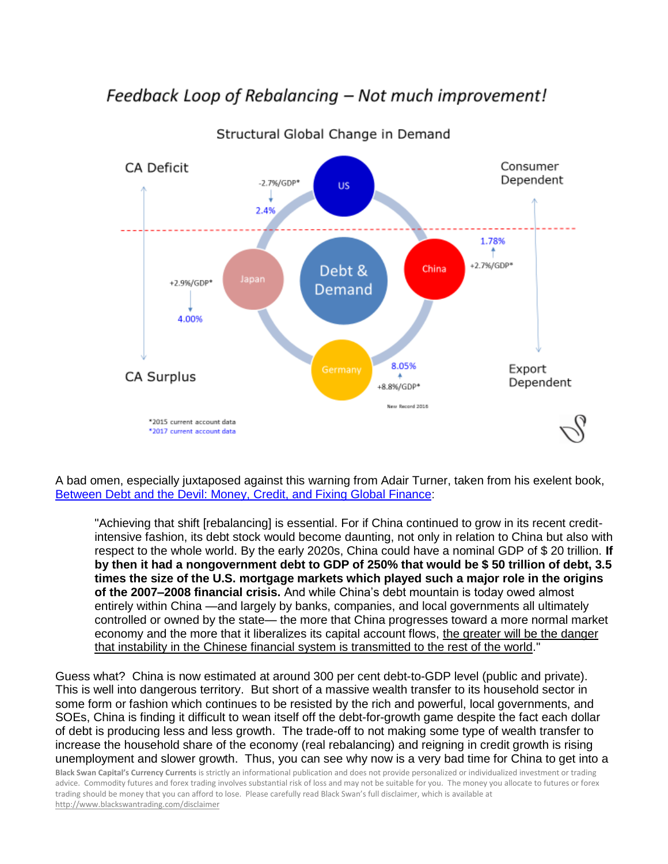## Feedback Loop of Rebalancing – Not much improvement!



Structural Global Change in Demand

A bad omen, especially juxtaposed against this warning from Adair Turner, taken from his exelent book, [Between Debt and the Devil: Money, Credit, and Fixing Global Finance:](https://www.amazon.com/Between-Debt-Devil-Credit-Finance/dp/0691169640/ref=sr_1_1?s=books&ie=UTF8&qid=1484160720&sr=1-1&keywords=between+debt+and+the+devil)

"Achieving that shift [rebalancing] is essential. For if China continued to grow in its recent creditintensive fashion, its debt stock would become daunting, not only in relation to China but also with respect to the whole world. By the early 2020s, China could have a nominal GDP of \$ 20 trillion. **If by then it had a nongovernment debt to GDP of 250% that would be \$ 50 trillion of debt, 3.5 times the size of the U.S. mortgage markets which played such a major role in the origins of the 2007–2008 financial crisis.** And while China's debt mountain is today owed almost entirely within China —and largely by banks, companies, and local governments all ultimately controlled or owned by the state— the more that China progresses toward a more normal market economy and the more that it liberalizes its capital account flows, the greater will be the danger that instability in the Chinese financial system is transmitted to the rest of the world."

Guess what? China is now estimated at around 300 per cent debt-to-GDP level (public and private). This is well into dangerous territory. But short of a massive wealth transfer to its household sector in some form or fashion which continues to be resisted by the rich and powerful, local governments, and SOEs, China is finding it difficult to wean itself off the debt-for-growth game despite the fact each dollar of debt is producing less and less growth. The trade-off to not making some type of wealth transfer to increase the household share of the economy (real rebalancing) and reigning in credit growth is rising unemployment and slower growth. Thus, you can see why now is a very bad time for China to get into a